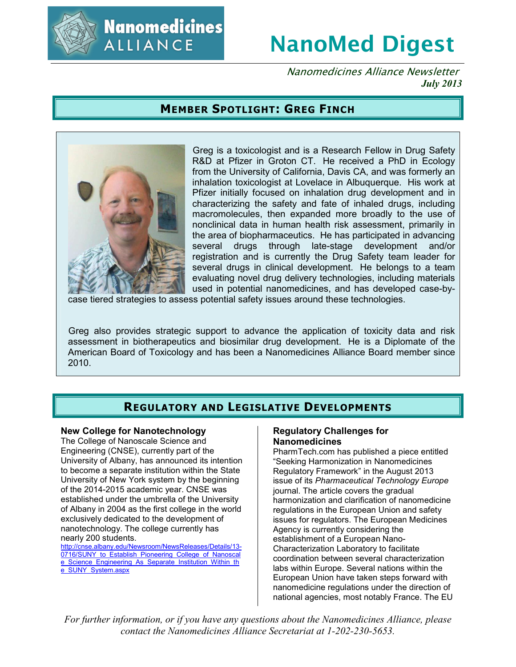

**Nanomedicines** ALLIANCE

# **NanoMed Digest**

Nanomedicines Alliance Newsletter *July 2013*

## **MEMBER SPOTLIGHT: GREG FINCH**



Greg is a toxicologist and is a Research Fellow in Drug Safety R&D at Pfizer in Groton CT. He received a PhD in Ecology from the University of California, Davis CA, and was formerly an inhalation toxicologist at Lovelace in Albuquerque. His work at Pfizer initially focused on inhalation drug development and in characterizing the safety and fate of inhaled drugs, including macromolecules, then expanded more broadly to the use of nonclinical data in human health risk assessment, primarily in the area of biopharmaceutics. He has participated in advancing several drugs through late-stage development and/or registration and is currently the Drug Safety team leader for several drugs in clinical development. He belongs to a team evaluating novel drug delivery technologies, including materials used in potential nanomedicines, and has developed case-by-

case tiered strategies to assess potential safety issues around these technologies.

Greg also provides strategic support to advance the application of toxicity data and risk assessment in biotherapeutics and biosimilar drug development. He is a Diplomate of the American Board of Toxicology and has been a Nanomedicines Alliance Board member since 2010.

## **REGULATORY AND LEGISLATIVE DEVELOPMENTS**

#### **New College for Nanotechnology**

The College of Nanoscale Science and Engineering (CNSE), currently part of the University of Albany, has announced its intention to become a separate institution within the State University of New York system by the beginning of the 2014-2015 academic year. CNSE was established under the umbrella of the University of Albany in 2004 as the first college in the world exclusively dedicated to the development of nanotechnology. The college currently has nearly 200 students.

http://cnse.albany.edu/Newsroom/NewsReleases/Details/13- 0716/SUNY\_to\_Establish\_Pioneering\_College\_of\_Nanoscal e\_Science\_Engineering\_As\_Separate\_Institution\_Within\_th e\_SUNY\_System.aspx

#### **Regulatory Challenges for Nanomedicines**

PharmTech.com has published a piece entitled "Seeking Harmonization in Nanomedicines Regulatory Framework" in the August 2013 issue of its *Pharmaceutical Technology Europe* journal. The article covers the gradual harmonization and clarification of nanomedicine regulations in the European Union and safety issues for regulators. The European Medicines Agency is currently considering the establishment of a European Nano-Characterization Laboratory to facilitate coordination between several characterization labs within Europe. Several nations within the European Union have taken steps forward with nanomedicine regulations under the direction of national agencies, most notably France. The EU

*For further information, or if you have any questions about the Nanomedicines Alliance, please contact the Nanomedicines Alliance Secretariat at 1-202-230-5653.*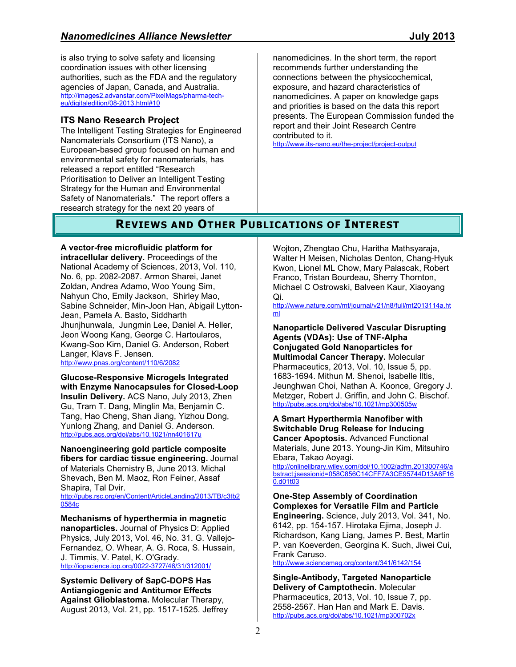is also trying to solve safety and licensing coordination issues with other licensing authorities, such as the FDA and the regulatory agencies of Japan, Canada, and Australia. http://images2.advanstar.com/PixelMags/pharma-techeu/digitaledition/08-2013.html#10

### **ITS Nano Research Project**

The Intelligent Testing Strategies for Engineered Nanomaterials Consortium (ITS Nano), a European-based group focused on human and environmental safety for nanomaterials, has released a report entitled "Research Prioritisation to Deliver an Intelligent Testing Strategy for the Human and Environmental Safety of Nanomaterials." The report offers a research strategy for the next 20 years of

nanomedicines. In the short term, the report recommends further understanding the connections between the physicochemical, exposure, and hazard characteristics of nanomedicines. A paper on knowledge gaps and priorities is based on the data this report presents. The European Commission funded the report and their Joint Research Centre contributed to it.

http://www.its-nano.eu/the-project/project-output

## **REVIEWS AND OTHER PUBLICATIONS OF INTEREST**

**A vector-free microfluidic platform for intracellular delivery.** Proceedings of the National Academy of Sciences, 2013, Vol. 110, No. 6, pp. 2082-2087. Armon Sharei, Janet Zoldan, Andrea Adamo, Woo Young Sim, Nahyun Cho, Emily Jackson, Shirley Mao, Sabine Schneider, Min-Joon Han, Abigail Lytton-Jean, Pamela A. Basto, Siddharth Jhunjhunwala, Jungmin Lee, Daniel A. Heller, Jeon Woong Kang, George C. Hartoularos, Kwang-Soo Kim, Daniel G. Anderson, Robert Langer, Klavs F. Jensen. http://www.pnas.org/content/110/6/2082

**Glucose-Responsive Microgels Integrated with Enzyme Nanocapsules for Closed-Loop Insulin Delivery.** ACS Nano, July 2013, Zhen Gu, Tram T. Dang, Minglin Ma, Benjamin C. Tang, Hao Cheng, Shan Jiang, Yizhou Dong, Yunlong Zhang, and Daniel G. Anderson. http://pubs.acs.org/doi/abs/10.1021/nn401617u

**Nanoengineering gold particle composite fibers for cardiac tissue engineering.** Journal of Materials Chemistry B, June 2013. Michal Shevach, Ben M. Maoz, Ron Feiner, Assaf Shapira, Tal Dvir.

http://pubs.rsc.org/en/Content/ArticleLanding/2013/TB/c3tb2 0584c

**Mechanisms of hyperthermia in magnetic nanoparticles.** Journal of Physics D: Applied Physics, July 2013, Vol. 46, No. 31. G. Vallejo-Fernandez, O. Whear, A. G. Roca, S. Hussain, J. Timmis, V. Patel, K. O'Grady. http://iopscience.iop.org/0022-3727/46/31/312001/

**Systemic Delivery of SapC-DOPS Has Antiangiogenic and Antitumor Effects Against Glioblastoma.** Molecular Therapy, August 2013, Vol. 21, pp. 1517-1525. Jeffrey Wojton, Zhengtao Chu, Haritha Mathsyaraja, Walter H Meisen, Nicholas Denton, Chang-Hyuk Kwon, Lionel ML Chow, Mary Palascak, Robert Franco, Tristan Bourdeau, Sherry Thornton, Michael C Ostrowski, Balveen Kaur, Xiaoyang Qi.

http://www.nature.com/mt/journal/v21/n8/full/mt2013114a.ht ml

**Nanoparticle Delivered Vascular Disrupting Agents (VDAs): Use of TNF-Alpha Conjugated Gold Nanoparticles for Multimodal Cancer Therapy.** Molecular Pharmaceutics, 2013, Vol. 10, Issue 5, pp. 1683-1694. Mithun M. Shenoi, Isabelle Iltis, Jeunghwan Choi, Nathan A. Koonce, Gregory J. Metzger, Robert J. Griffin, and John C. Bischof. http://pubs.acs.org/doi/abs/10.1021/mp300505w

**A Smart Hyperthermia Nanofiber with Switchable Drug Release for Inducing Cancer Apoptosis.** Advanced Functional Materials, June 2013. Young-Jin Kim, Mitsuhiro Ebara, Takao Aoyagi.

http://onlinelibrary.wiley.com/doi/10.1002/adfm.201300746/a bstract;jsessionid=058C856C14CFF7A3CE95744D13A6F16 0.d01t03

**One-Step Assembly of Coordination Complexes for Versatile Film and Particle Engineering.** Science, July 2013, Vol. 341, No. 6142, pp. 154-157. Hirotaka Ejima, Joseph J. Richardson, Kang Liang, James P. Best, Martin P. van Koeverden, Georgina K. Such, Jiwei Cui, Frank Caruso.

http://www.sciencemag.org/content/341/6142/154

**Single-Antibody, Targeted Nanoparticle Delivery of Camptothecin.** Molecular Pharmaceutics, 2013, Vol. 10, Issue 7, pp. 2558-2567. Han Han and Mark E. Davis. http://pubs.acs.org/doi/abs/10.1021/mp300702x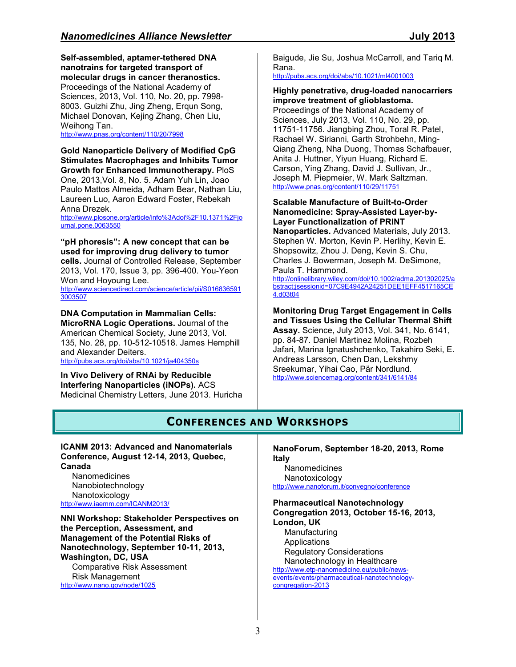**Self-assembled, aptamer-tethered DNA nanotrains for targeted transport of molecular drugs in cancer theranostics.** Proceedings of the National Academy of Sciences, 2013, Vol. 110, No. 20, pp. 7998- 8003. Guizhi Zhu, Jing Zheng, Erqun Song, Michael Donovan, Kejing Zhang, Chen Liu, Weihong Tan.

http://www.pnas.org/content/110/20/7998

**Gold Nanoparticle Delivery of Modified CpG Stimulates Macrophages and Inhibits Tumor Growth for Enhanced Immunotherapy.** PloS One, 2013,Vol. 8, No. 5. Adam Yuh Lin, Joao Paulo Mattos Almeida, Adham Bear, Nathan Liu, Laureen Luo, Aaron Edward Foster, Rebekah Anna Drezek.

http://www.plosone.org/article/info%3Adoi%2F10.1371%2Fio urnal.pone.0063550

**"pH phoresis": A new concept that can be used for improving drug delivery to tumor cells.** Journal of Controlled Release, September 2013, Vol. 170, Issue 3, pp. 396-400. You-Yeon Won and Hoyoung Lee. http://www.sciencedirect.com/science/article/pii/S016836591 3003507

**DNA Computation in Mammalian Cells: MicroRNA Logic Operations.** Journal of the American Chemical Society, June 2013, Vol. 135, No. 28, pp. 10-512-10518. James Hemphill and Alexander Deiters. http://pubs.acs.org/doi/abs/10.1021/ja404350s

**In Vivo Delivery of RNAi by Reducible Interfering Nanoparticles (iNOPs).** ACS Medicinal Chemistry Letters, June 2013. Huricha Baigude, Jie Su, Joshua McCarroll, and Tariq M. Rana.

http://pubs.acs.org/doi/abs/10.1021/ml4001003

#### **Highly penetrative, drug-loaded nanocarriers improve treatment of glioblastoma.**

Proceedings of the National Academy of Sciences, July 2013, Vol. 110, No. 29, pp. 11751-11756. Jiangbing Zhou, Toral R. Patel, Rachael W. Sirianni, Garth Strohbehn, Ming-Qiang Zheng, Nha Duong, Thomas Schafbauer, Anita J. Huttner, Yiyun Huang, Richard E. Carson, Ying Zhang, David J. Sullivan, Jr., Joseph M. Piepmeier, W. Mark Saltzman. http://www.pnas.org/content/110/29/11751

#### **Scalable Manufacture of Built-to-Order Nanomedicine: Spray-Assisted Layer-by-Layer Functionalization of PRINT**

**Nanoparticles.** Advanced Materials, July 2013. Stephen W. Morton, Kevin P. Herlihy, Kevin E. Shopsowitz, Zhou J. Deng, Kevin S. Chu, Charles J. Bowerman, Joseph M. DeSimone, Paula T. Hammond.

http://onlinelibrary.wiley.com/doi/10.1002/adma.201302025/a bstract;jsessionid=07C9E4942A24251DEE1EFF4517165CE 4.d03t04

#### **Monitoring Drug Target Engagement in Cells and Tissues Using the Cellular Thermal Shift Assay.** Science, July 2013, Vol. 341, No. 6141, pp. 84-87. Daniel Martinez Molina, Rozbeh Jafari, Marina Ignatushchenko, Takahiro Seki, E.

Andreas Larsson, Chen Dan, Lekshmy Sreekumar, Yihai Cao, Pär Nordlund. http://www.sciencemag.org/content/341/6141/84

# **CONFERENCES AND WORKSHOPS**

#### **ICANM 2013: Advanced and Nanomaterials Conference, August 12-14, 2013, Quebec, Canada**

**Nanomedicines** Nanobiotechnology Nanotoxicology http://www.iaemm.com/ICANM2013/

**NNI Workshop: Stakeholder Perspectives on the Perception, Assessment, and Management of the Potential Risks of Nanotechnology, September 10-11, 2013, Washington, DC, USA**  Comparative Risk Assessment Risk Management http://www.nano.gov/node/1025

**NanoForum, September 18-20, 2013, Rome Italy** Nanomedicines

Nanotoxicology http://www.nanoforum.it/convegno/conference

**Pharmaceutical Nanotechnology Congregation 2013, October 15-16, 2013, London, UK** Manufacturing Applications Regulatory Considerations Nanotechnology in Healthcare http://www.etp-nanomedicine.eu/public/newsevents/events/pharmaceutical-nanotechnologycongregation-2013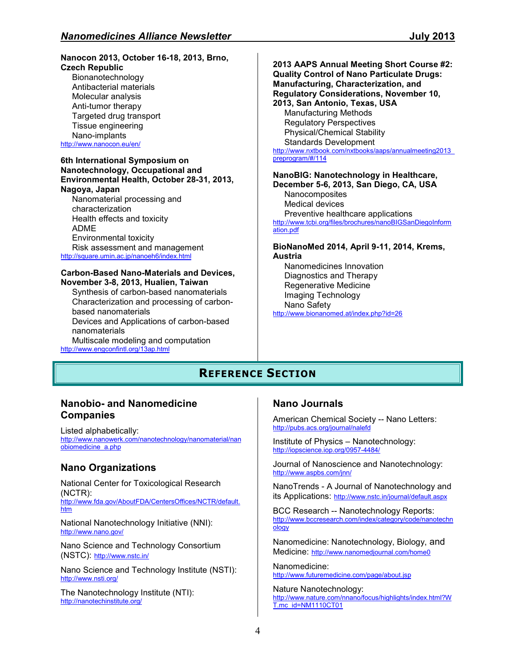#### **Nanocon 2013, October 16-18, 2013, Brno, Czech Republic**

Bionanotechnology Antibacterial materials Molecular analysis Anti-tumor therapy Targeted drug transport Tissue engineering Nano-implants http://www.nanocon.eu/en/

#### **6th International Symposium on Nanotechnology, Occupational and Environmental Health, October 28-31, 2013, Nagoya, Japan**

Nanomaterial processing and characterization Health effects and toxicity ADME Environmental toxicity Risk assessment and management http://square.umin.ac.jp/nanoeh6/index.html

#### **Carbon-Based Nano-Materials and Devices, November 3-8, 2013, Hualien, Taiwan**

Synthesis of carbon-based nanomaterials Characterization and processing of carbonbased nanomaterials Devices and Applications of carbon-based nanomaterials Multiscale modeling and computation http://www.engconfintl.org/13ap.html

#### **2013 AAPS Annual Meeting Short Course #2: Quality Control of Nano Particulate Drugs: Manufacturing, Characterization, and Regulatory Considerations, November 10, 2013, San Antonio, Texas, USA**  Manufacturing Methods Regulatory Perspectives Physical/Chemical Stability Standards Development http://www.nxtbook.com/nxtbooks/aaps/annualmeeting2013 preprogram/#/114

**NanoBIG: Nanotechnology in Healthcare, December 5-6, 2013, San Diego, CA, USA** Nanocomposites Medical devices Preventive healthcare applications http://www.tcbi.org/files/brochures/nanoBIGSanDiegoInform ation.pdf

**BioNanoMed 2014, April 9-11, 2014, Krems, Austria** 

Nanomedicines Innovation Diagnostics and Therapy Regenerative Medicine Imaging Technology Nano Safety http://www.bionanomed.at/index.php?id=26

# **REFERENCE SECTION**

## **Nanobio- and Nanomedicine Companies**

Listed alphabetically: http://www.nanowerk.com/nanotechnology/nanomaterial/nan obiomedicine\_a.php

## **Nano Organizations**

National Center for Toxicological Research (NCTR): http://www.fda.gov/AboutFDA/CentersOffices/NCTR/default. htm

National Nanotechnology Initiative (NNI): http://www.nano.gov/

Nano Science and Technology Consortium (NSTC): http://www.nstc.in/

Nano Science and Technology Institute (NSTI): http://www.nsti.org/

The Nanotechnology Institute (NTI): http://nanotechinstitute.org/

## **Nano Journals**

American Chemical Society -- Nano Letters: http://pubs.acs.org/journal/nalefd

Institute of Physics – Nanotechnology: http://iopscience.iop.org/0957-4484/

Journal of Nanoscience and Nanotechnology: http://www.aspbs.com/jnn/

NanoTrends - A Journal of Nanotechnology and its Applications: http://www.nstc.in/journal/default.aspx

BCC Research -- Nanotechnology Reports: http://www.bccresearch.com/index/category/code/nanotechn ology

Nanomedicine: Nanotechnology, Biology, and Medicine: http://www.nanomedjournal.com/home0

Nanomedicine: http://www.futuremedicine.com/page/about.jsp

Nature Nanotechnology: http://www.nature.com/nnano/focus/highlights/index.html?W T.mc\_id=NM1110CT01